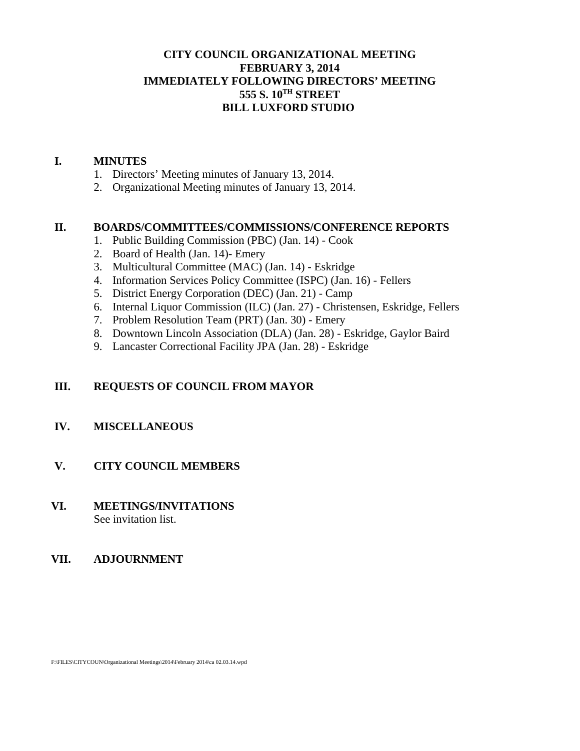### **CITY COUNCIL ORGANIZATIONAL MEETING FEBRUARY 3, 2014 IMMEDIATELY FOLLOWING DIRECTORS' MEETING 555 S. 10TH STREET BILL LUXFORD STUDIO**

#### **I. MINUTES**

- 1. Directors' Meeting minutes of January 13, 2014.
- 2. Organizational Meeting minutes of January 13, 2014.

#### **II. BOARDS/COMMITTEES/COMMISSIONS/CONFERENCE REPORTS**

- 1. Public Building Commission (PBC) (Jan. 14) Cook
- 2. Board of Health (Jan. 14)- Emery
- 3. Multicultural Committee (MAC) (Jan. 14) Eskridge
- 4. Information Services Policy Committee (ISPC) (Jan. 16) Fellers
- 5. District Energy Corporation (DEC) (Jan. 21) Camp
- 6. Internal Liquor Commission (ILC) (Jan. 27) Christensen, Eskridge, Fellers
- 7. Problem Resolution Team (PRT) (Jan. 30) Emery
- 8. Downtown Lincoln Association (DLA) (Jan. 28) Eskridge, Gaylor Baird
- 9. Lancaster Correctional Facility JPA (Jan. 28) Eskridge

### **III. REQUESTS OF COUNCIL FROM MAYOR**

### **IV. MISCELLANEOUS**

### **V. CITY COUNCIL MEMBERS**

#### **VI. MEETINGS/INVITATIONS** See invitation list.

#### **VII. ADJOURNMENT**

F:\FILES\CITYCOUN\Organizational Meetings\2014\February 2014\ca 02.03.14.wpd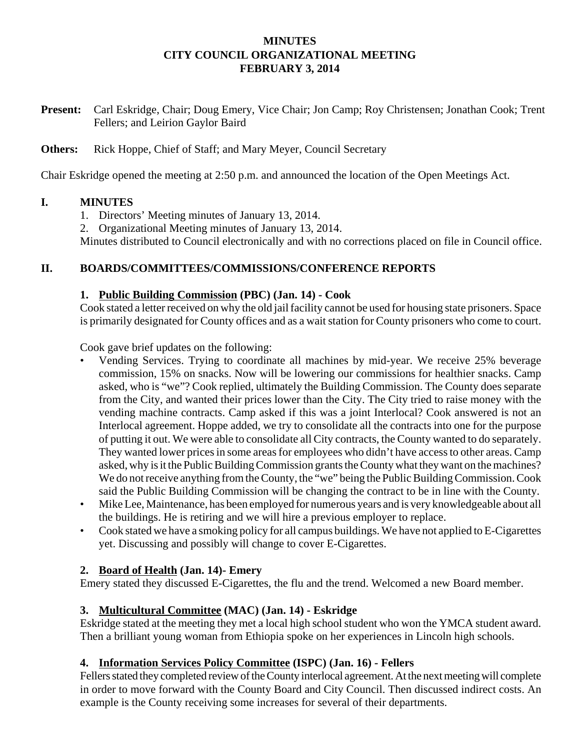#### **MINUTES CITY COUNCIL ORGANIZATIONAL MEETING FEBRUARY 3, 2014**

**Present:** Carl Eskridge, Chair; Doug Emery, Vice Chair; Jon Camp; Roy Christensen; Jonathan Cook; Trent Fellers; and Leirion Gaylor Baird

### **Others:** Rick Hoppe, Chief of Staff; and Mary Meyer, Council Secretary

Chair Eskridge opened the meeting at 2:50 p.m. and announced the location of the Open Meetings Act.

### **I. MINUTES**

- 1. Directors' Meeting minutes of January 13, 2014.
- 2. Organizational Meeting minutes of January 13, 2014.

Minutes distributed to Council electronically and with no corrections placed on file in Council office.

# **II. BOARDS/COMMITTEES/COMMISSIONS/CONFERENCE REPORTS**

### **1. Public Building Commission (PBC) (Jan. 14) - Cook**

Cook stated a letter received on why the old jail facility cannot be used for housing state prisoners. Space is primarily designated for County offices and as a wait station for County prisoners who come to court.

Cook gave brief updates on the following:

- Vending Services. Trying to coordinate all machines by mid-year. We receive 25% beverage commission, 15% on snacks. Now will be lowering our commissions for healthier snacks. Camp asked, who is "we"? Cook replied, ultimately the Building Commission. The County does separate from the City, and wanted their prices lower than the City. The City tried to raise money with the vending machine contracts. Camp asked if this was a joint Interlocal? Cook answered is not an Interlocal agreement. Hoppe added, we try to consolidate all the contracts into one for the purpose of putting it out. We were able to consolidate all City contracts, the County wanted to do separately. They wanted lower prices in some areas for employees who didn't have access to other areas. Camp asked, why is it the Public Building Commission grants the County what they want on the machines? We do not receive anything from the County, the "we" being the Public Building Commission. Cook said the Public Building Commission will be changing the contract to be in line with the County.
- Mike Lee, Maintenance, has been employed for numerous years and is very knowledgeable about all the buildings. He is retiring and we will hire a previous employer to replace.
- Cook stated we have a smoking policy for all campus buildings. We have not applied to E-Cigarettes yet. Discussing and possibly will change to cover E-Cigarettes.

### **2. Board of Health (Jan. 14)- Emery**

Emery stated they discussed E-Cigarettes, the flu and the trend. Welcomed a new Board member.

### **3. Multicultural Committee (MAC) (Jan. 14) - Eskridge**

Eskridge stated at the meeting they met a local high school student who won the YMCA student award. Then a brilliant young woman from Ethiopia spoke on her experiences in Lincoln high schools.

### **4. Information Services Policy Committee (ISPC) (Jan. 16) - Fellers**

Fellers stated they completed review of the County interlocal agreement. At the next meeting will complete in order to move forward with the County Board and City Council. Then discussed indirect costs. An example is the County receiving some increases for several of their departments.